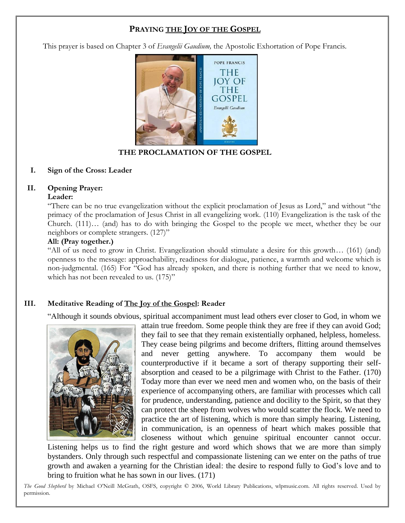# **PRAYING THE JOY OF THE GOSPEL**

This prayer is based on Chapter 3 of *Evangelii Gaudium,* the Apostolic Exhortation of Pope Francis.



**THE PROCLAMATION OF THE GOSPEL**

#### **I. Sign of the Cross: Leader**

### **II. Opening Prayer:**

#### **Leader:**

"There can be no true evangelization without the explicit proclamation of Jesus as Lord," and without "the primacy of the proclamation of Jesus Christ in all evangelizing work. (110) Evangelization is the task of the Church. (111)… (and) has to do with bringing the Gospel to the people we meet, whether they be our neighbors or complete strangers. (127)"

#### **All: (Pray together.)**

"All of us need to grow in Christ. Evangelization should stimulate a desire for this growth… (161) (and) openness to the message: approachability, readiness for dialogue, patience, a warmth and welcome which is non-judgmental. (165) For "God has already spoken, and there is nothing further that we need to know, which has not been revealed to us.  $(175)$ "

## **III. Meditative Reading of The Joy of the Gospel: Reader**

"Although it sounds obvious, spiritual accompaniment must lead others ever closer to God, in whom we



attain true freedom. Some people think they are free if they can avoid God; they fail to see that they remain existentially orphaned, helpless, homeless. They cease being pilgrims and become drifters, flitting around themselves and never getting anywhere. To accompany them would be counterproductive if it became a sort of therapy supporting their selfabsorption and ceased to be a pilgrimage with Christ to the Father. (170) Today more than ever we need men and women who, on the basis of their experience of accompanying others, are familiar with processes which call for prudence, understanding, patience and docility to the Spirit, so that they can protect the sheep from wolves who would scatter the flock. We need to practice the art of listening, which is more than simply hearing. Listening, in communication, is an openness of heart which makes possible that closeness without which genuine spiritual encounter cannot occur.

Listening helps us to find the right gesture and word which shows that we are more than simply bystanders. Only through such respectful and compassionate listening can we enter on the paths of true growth and awaken a yearning for the Christian ideal: the desire to respond fully to God's love and to bring to fruition what he has sown in our lives. (171)

*The Good Shepherd* by Michael O'Neill McGrath, OSFS, copyright © 2006, World Library Publications, wlpmusic.com. All rights reserved. Used by permission.